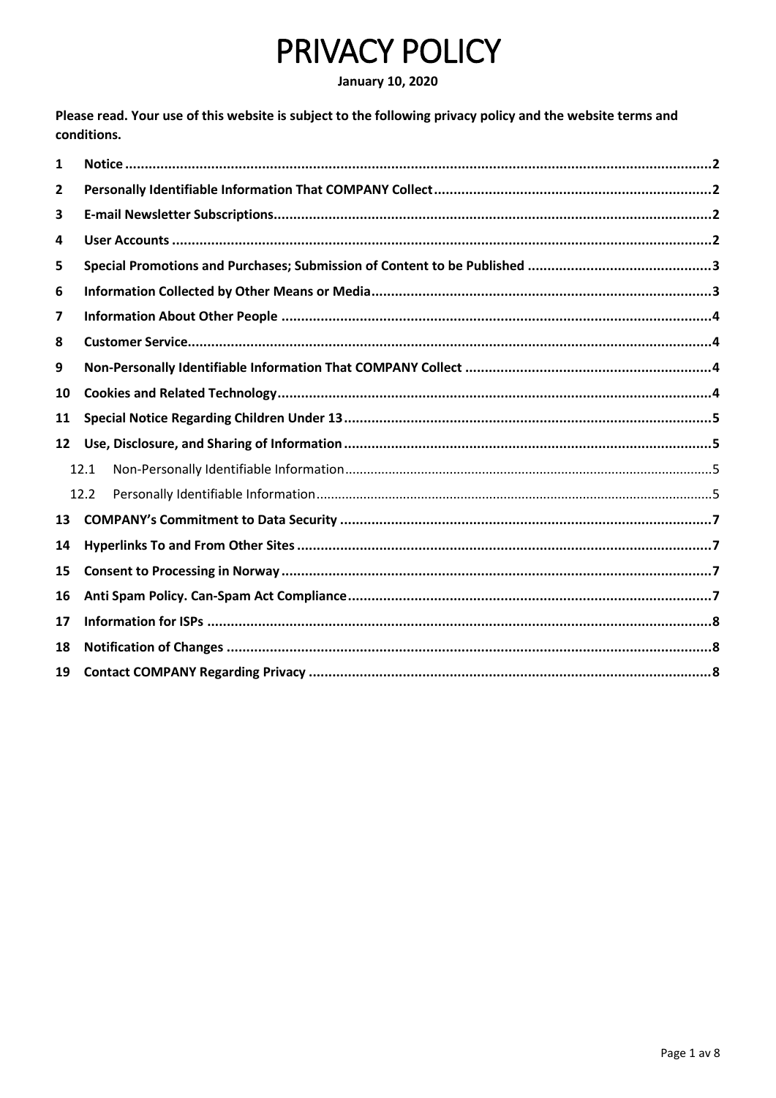# PRIVACY POLICY

#### **January 10, 2020**

Please read. Your use of this website is subject to the following privacy policy and the website terms and conditions.

| 1              |      |
|----------------|------|
| $\overline{2}$ |      |
| 3              |      |
| 4              |      |
| 5              |      |
| 6              |      |
| 7              |      |
| 8              |      |
| 9              |      |
| 10             |      |
| 11             |      |
| 12             |      |
|                | 12.1 |
|                | 12.2 |
| 13             |      |
| 14             |      |
| 15             |      |
| 16             |      |
| 17             |      |
| 18             |      |
| 19             |      |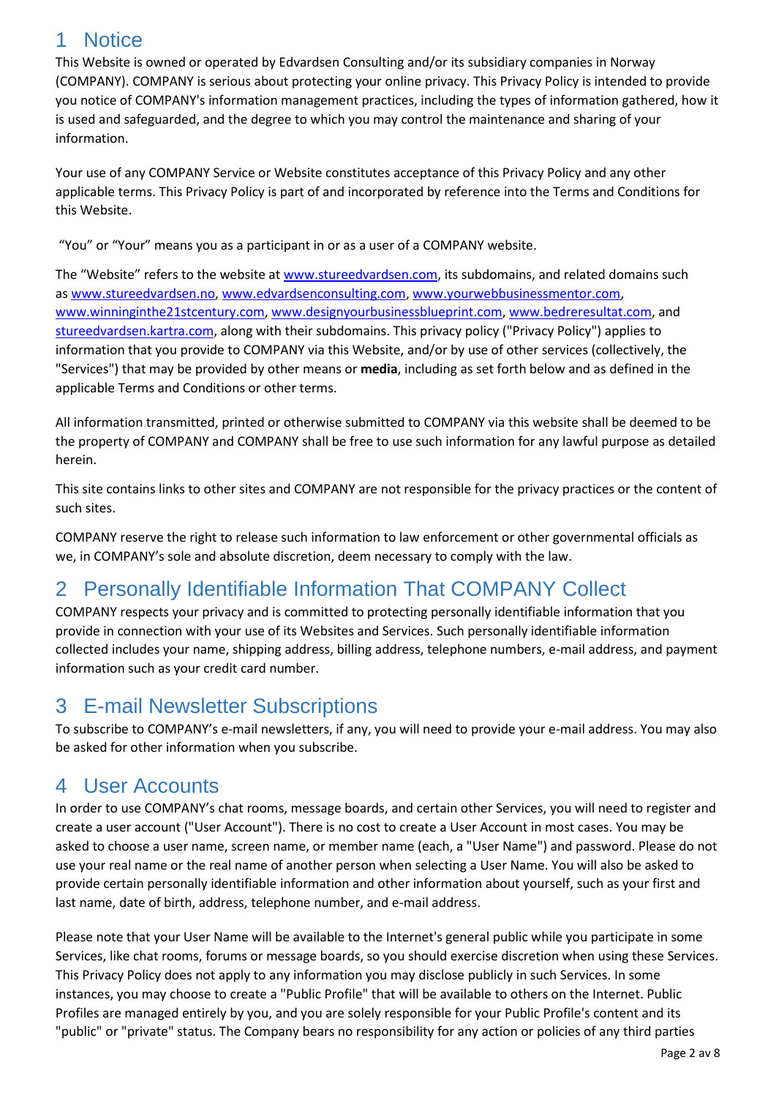## <span id="page-1-0"></span>1 Notice

This Website is owned or operated by Edvardsen Consulting and/or its subsidiary companies in Norway (COMPANY). COMPANY is serious about protecting your online privacy. This Privacy Policy is intended to provide you notice of COMPANY's information management practices, including the types of information gathered, how it is used and safeguarded, and the degree to which you may control the maintenance and sharing of your information.

Your use of any COMPANY Service or Website constitutes acceptance of this Privacy Policy and any other applicable terms. This Privacy Policy is part of and incorporated by reference into the Terms and Conditions for this Website.

"You" or "Your" means you as a participant in or as a user of a COMPANY website.

The "Website" refers to the website at [www.stureedvardsen.com,](http://www.stureedvardsen.com/) its subdomains, and related domains such as [www.stureedvardsen.no,](http://www.stureedvardsen.no/) [www.edvardsenconsulting.com,](http://www.edvardsenconsulting.com/) [www.yourwebbusinessmentor.com,](http://www.yourwebbusinessmentor.com/) [www.winninginthe21stcentury.com,](http://www.winninginthe21stcentury.com/) [www.designyourbusinessblueprint.com,](http://www.designyourbusinessblueprint.com/) [www.bedreresultat.com,](http://www.bedreresultat.com/) and [stureedvardsen.kartra.com,](http://www.stureedvardsen.kartra.com/) along with their subdomains. This privacy policy ("Privacy Policy") applies to information that you provide to COMPANY via this Website, and/or by use of other services (collectively, the "Services") that may be provided by other means or **media**, including as set forth below and as defined in the applicable Terms and Conditions or other terms.

All information transmitted, printed or otherwise submitted to COMPANY via this website shall be deemed to be the property of COMPANY and COMPANY shall be free to use such information for any lawful purpose as detailed herein.

This site contains links to other sites and COMPANY are not responsible for the privacy practices or the content of such sites.

COMPANY reserve the right to release such information to law enforcement or other governmental officials as we, in COMPANY's sole and absolute discretion, deem necessary to comply with the law.

## <span id="page-1-1"></span>2 Personally Identifiable Information That COMPANY Collect

COMPANY respects your privacy and is committed to protecting personally identifiable information that you provide in connection with your use of its Websites and Services. Such personally identifiable information collected includes your name, shipping address, billing address, telephone numbers, e-mail address, and payment information such as your credit card number.

## <span id="page-1-2"></span>3 E-mail Newsletter Subscriptions

To subscribe to COMPANY's e-mail newsletters, if any, you will need to provide your e-mail address. You may also be asked for other information when you subscribe.

#### <span id="page-1-3"></span>4 User Accounts

In order to use COMPANY's chat rooms, message boards, and certain other Services, you will need to register and create a user account ("User Account"). There is no cost to create a User Account in most cases. You may be asked to choose a user name, screen name, or member name (each, a "User Name") and password. Please do not use your real name or the real name of another person when selecting a User Name. You will also be asked to provide certain personally identifiable information and other information about yourself, such as your first and last name, date of birth, address, telephone number, and e-mail address.

Please note that your User Name will be available to the Internet's general public while you participate in some Services, like chat rooms, forums or message boards, so you should exercise discretion when using these Services. This Privacy Policy does not apply to any information you may disclose publicly in such Services. In some instances, you may choose to create a "Public Profile" that will be available to others on the Internet. Public Profiles are managed entirely by you, and you are solely responsible for your Public Profile's content and its "public" or "private" status. The Company bears no responsibility for any action or policies of any third parties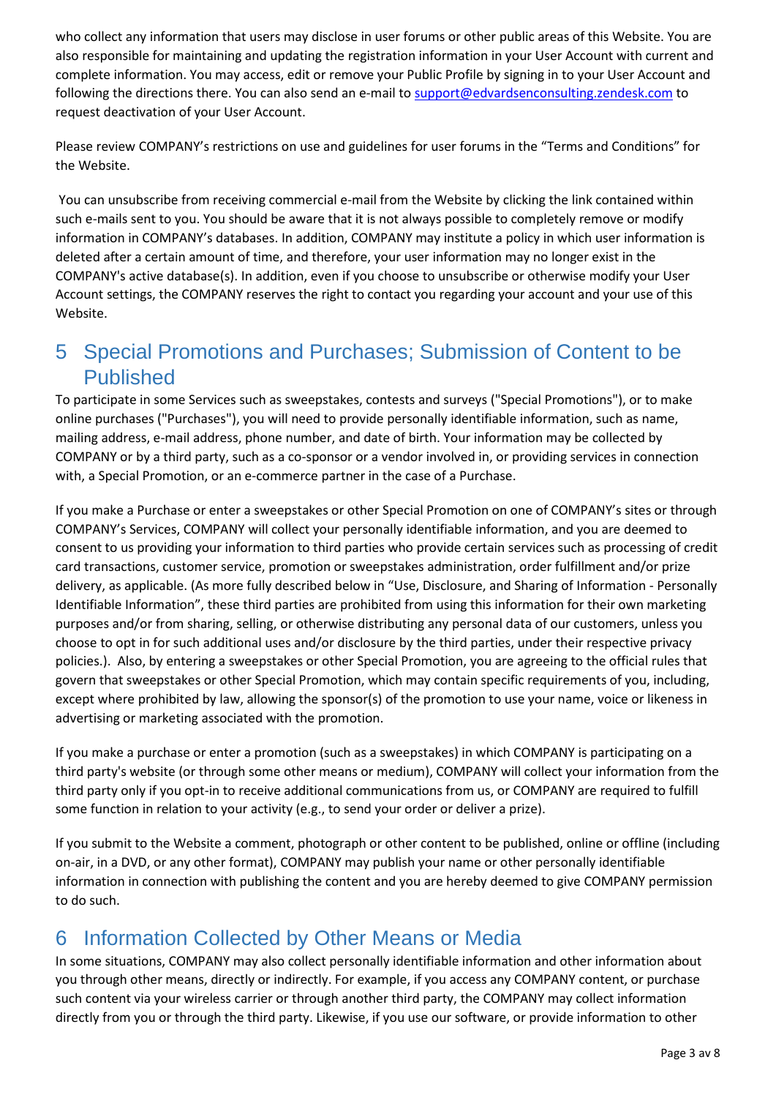who collect any information that users may disclose in user forums or other public areas of this Website. You are also responsible for maintaining and updating the registration information in your User Account with current and complete information. You may access, edit or remove your Public Profile by signing in to your User Account and following the directions there. You can also send an e-mail to [support@edvardsenconsulting.zendesk.com](mailto:support@edvardsenconsulting.zendesk.com) to request deactivation of your User Account.

Please review COMPANY's restrictions on use and guidelines for user forums in the "Terms and Conditions" for the Website.

You can unsubscribe from receiving commercial e-mail from the Website by clicking the link contained within such e-mails sent to you. You should be aware that it is not always possible to completely remove or modify information in COMPANY's databases. In addition, COMPANY may institute a policy in which user information is deleted after a certain amount of time, and therefore, your user information may no longer exist in the COMPANY's active database(s). In addition, even if you choose to unsubscribe or otherwise modify your User Account settings, the COMPANY reserves the right to contact you regarding your account and your use of this Website.

## <span id="page-2-0"></span>5 Special Promotions and Purchases; Submission of Content to be Published

To participate in some Services such as sweepstakes, contests and surveys ("Special Promotions"), or to make online purchases ("Purchases"), you will need to provide personally identifiable information, such as name, mailing address, e-mail address, phone number, and date of birth. Your information may be collected by COMPANY or by a third party, such as a co-sponsor or a vendor involved in, or providing services in connection with, a Special Promotion, or an e-commerce partner in the case of a Purchase.

If you make a Purchase or enter a sweepstakes or other Special Promotion on one of COMPANY's sites or through COMPANY's Services, COMPANY will collect your personally identifiable information, and you are deemed to consent to us providing your information to third parties who provide certain services such as processing of credit card transactions, customer service, promotion or sweepstakes administration, order fulfillment and/or prize delivery, as applicable. (As more fully described below in "Use, Disclosure, and Sharing of Information - Personally Identifiable Information", these third parties are prohibited from using this information for their own marketing purposes and/or from sharing, selling, or otherwise distributing any personal data of our customers, unless you choose to opt in for such additional uses and/or disclosure by the third parties, under their respective privacy policies.). Also, by entering a sweepstakes or other Special Promotion, you are agreeing to the official rules that govern that sweepstakes or other Special Promotion, which may contain specific requirements of you, including, except where prohibited by law, allowing the sponsor(s) of the promotion to use your name, voice or likeness in advertising or marketing associated with the promotion.

If you make a purchase or enter a promotion (such as a sweepstakes) in which COMPANY is participating on a third party's website (or through some other means or medium), COMPANY will collect your information from the third party only if you opt-in to receive additional communications from us, or COMPANY are required to fulfill some function in relation to your activity (e.g., to send your order or deliver a prize).

If you submit to the Website a comment, photograph or other content to be published, online or offline (including on-air, in a DVD, or any other format), COMPANY may publish your name or other personally identifiable information in connection with publishing the content and you are hereby deemed to give COMPANY permission to do such.

## <span id="page-2-1"></span>6 Information Collected by Other Means or Media

In some situations, COMPANY may also collect personally identifiable information and other information about you through other means, directly or indirectly. For example, if you access any COMPANY content, or purchase such content via your wireless carrier or through another third party, the COMPANY may collect information directly from you or through the third party. Likewise, if you use our software, or provide information to other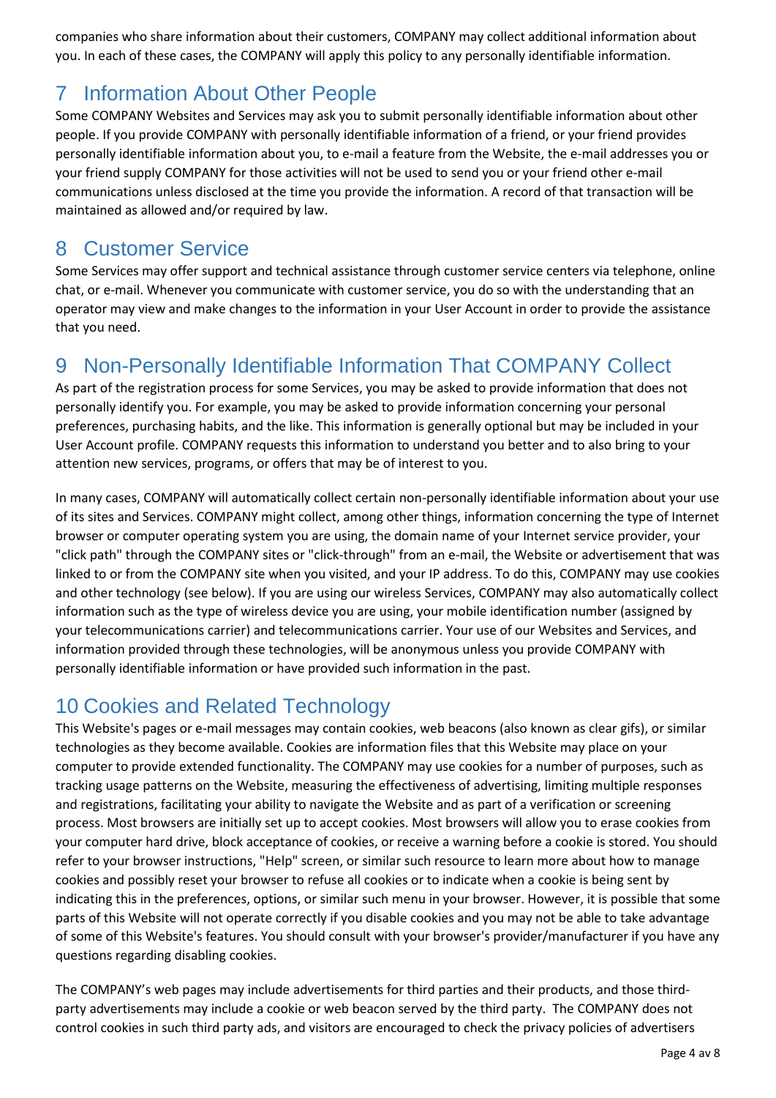companies who share information about their customers, COMPANY may collect additional information about you. In each of these cases, the COMPANY will apply this policy to any personally identifiable information.

## <span id="page-3-0"></span>7 Information About Other People

Some COMPANY Websites and Services may ask you to submit personally identifiable information about other people. If you provide COMPANY with personally identifiable information of a friend, or your friend provides personally identifiable information about you, to e-mail a feature from the Website, the e-mail addresses you or your friend supply COMPANY for those activities will not be used to send you or your friend other e-mail communications unless disclosed at the time you provide the information. A record of that transaction will be maintained as allowed and/or required by law.

#### <span id="page-3-1"></span>8 Customer Service

Some Services may offer support and technical assistance through customer service centers via telephone, online chat, or e-mail. Whenever you communicate with customer service, you do so with the understanding that an operator may view and make changes to the information in your User Account in order to provide the assistance that you need.

#### <span id="page-3-2"></span>9 Non-Personally Identifiable Information That COMPANY Collect

As part of the registration process for some Services, you may be asked to provide information that does not personally identify you. For example, you may be asked to provide information concerning your personal preferences, purchasing habits, and the like. This information is generally optional but may be included in your User Account profile. COMPANY requests this information to understand you better and to also bring to your attention new services, programs, or offers that may be of interest to you.

In many cases, COMPANY will automatically collect certain non-personally identifiable information about your use of its sites and Services. COMPANY might collect, among other things, information concerning the type of Internet browser or computer operating system you are using, the domain name of your Internet service provider, your "click path" through the COMPANY sites or "click-through" from an e-mail, the Website or advertisement that was linked to or from the COMPANY site when you visited, and your IP address. To do this, COMPANY may use cookies and other technology (see below). If you are using our wireless Services, COMPANY may also automatically collect information such as the type of wireless device you are using, your mobile identification number (assigned by your telecommunications carrier) and telecommunications carrier. Your use of our Websites and Services, and information provided through these technologies, will be anonymous unless you provide COMPANY with personally identifiable information or have provided such information in the past.

#### <span id="page-3-3"></span>10 Cookies and Related Technology

This Website's pages or e-mail messages may contain cookies, web beacons (also known as clear gifs), or similar technologies as they become available. Cookies are information files that this Website may place on your computer to provide extended functionality. The COMPANY may use cookies for a number of purposes, such as tracking usage patterns on the Website, measuring the effectiveness of advertising, limiting multiple responses and registrations, facilitating your ability to navigate the Website and as part of a verification or screening process. Most browsers are initially set up to accept cookies. Most browsers will allow you to erase cookies from your computer hard drive, block acceptance of cookies, or receive a warning before a cookie is stored. You should refer to your browser instructions, "Help" screen, or similar such resource to learn more about how to manage cookies and possibly reset your browser to refuse all cookies or to indicate when a cookie is being sent by indicating this in the preferences, options, or similar such menu in your browser. However, it is possible that some parts of this Website will not operate correctly if you disable cookies and you may not be able to take advantage of some of this Website's features. You should consult with your browser's provider/manufacturer if you have any questions regarding disabling cookies.

The COMPANY's web pages may include advertisements for third parties and their products, and those thirdparty advertisements may include a cookie or web beacon served by the third party. The COMPANY does not control cookies in such third party ads, and visitors are encouraged to check the privacy policies of advertisers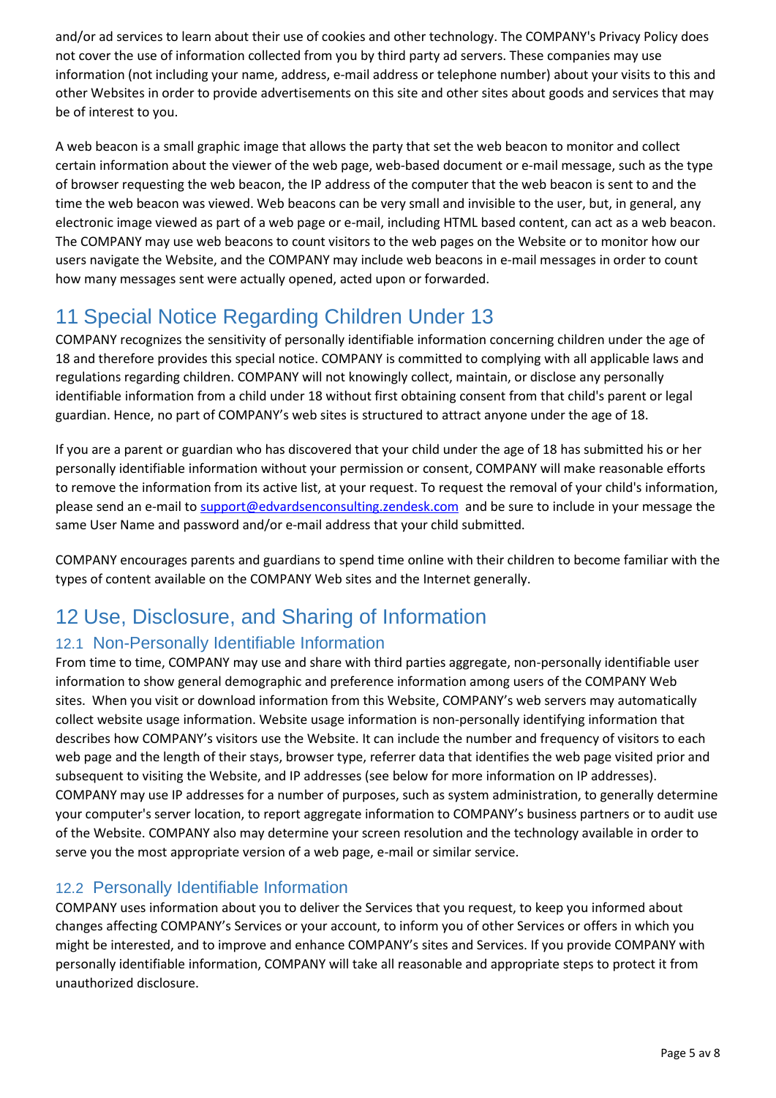and/or ad services to learn about their use of cookies and other technology. The COMPANY's Privacy Policy does not cover the use of information collected from you by third party ad servers. These companies may use information (not including your name, address, e-mail address or telephone number) about your visits to this and other Websites in order to provide advertisements on this site and other sites about goods and services that may be of interest to you.

A web beacon is a small graphic image that allows the party that set the web beacon to monitor and collect certain information about the viewer of the web page, web-based document or e-mail message, such as the type of browser requesting the web beacon, the IP address of the computer that the web beacon is sent to and the time the web beacon was viewed. Web beacons can be very small and invisible to the user, but, in general, any electronic image viewed as part of a web page or e-mail, including HTML based content, can act as a web beacon. The COMPANY may use web beacons to count visitors to the web pages on the Website or to monitor how our users navigate the Website, and the COMPANY may include web beacons in e-mail messages in order to count how many messages sent were actually opened, acted upon or forwarded.

# <span id="page-4-0"></span>11 Special Notice Regarding Children Under 13

COMPANY recognizes the sensitivity of personally identifiable information concerning children under the age of 18 and therefore provides this special notice. COMPANY is committed to complying with all applicable laws and regulations regarding children. COMPANY will not knowingly collect, maintain, or disclose any personally identifiable information from a child under 18 without first obtaining consent from that child's parent or legal guardian. Hence, no part of COMPANY's web sites is structured to attract anyone under the age of 18.

If you are a parent or guardian who has discovered that your child under the age of 18 has submitted his or her personally identifiable information without your permission or consent, COMPANY will make reasonable efforts to remove the information from its active list, at your request. To request the removal of your child's information, please send an e-mail to [support@edvardsenconsulting.zendesk.com](mailto:support@edvardsenconsulting.zendesk.com) and be sure to include in your message the same User Name and password and/or e-mail address that your child submitted.

COMPANY encourages parents and guardians to spend time online with their children to become familiar with the types of content available on the COMPANY Web sites and the Internet generally.

# <span id="page-4-1"></span>12 Use, Disclosure, and Sharing of Information

#### <span id="page-4-2"></span>12.1 Non-Personally Identifiable Information

From time to time, COMPANY may use and share with third parties aggregate, non-personally identifiable user information to show general demographic and preference information among users of the COMPANY Web sites. When you visit or download information from this Website, COMPANY's web servers may automatically collect website usage information. Website usage information is non-personally identifying information that describes how COMPANY's visitors use the Website. It can include the number and frequency of visitors to each web page and the length of their stays, browser type, referrer data that identifies the web page visited prior and subsequent to visiting the Website, and IP addresses (see below for more information on IP addresses). COMPANY may use IP addresses for a number of purposes, such as system administration, to generally determine your computer's server location, to report aggregate information to COMPANY's business partners or to audit use of the Website. COMPANY also may determine your screen resolution and the technology available in order to serve you the most appropriate version of a web page, e-mail or similar service.

#### <span id="page-4-3"></span>12.2 Personally Identifiable Information

COMPANY uses information about you to deliver the Services that you request, to keep you informed about changes affecting COMPANY's Services or your account, to inform you of other Services or offers in which you might be interested, and to improve and enhance COMPANY's sites and Services. If you provide COMPANY with personally identifiable information, COMPANY will take all reasonable and appropriate steps to protect it from unauthorized disclosure.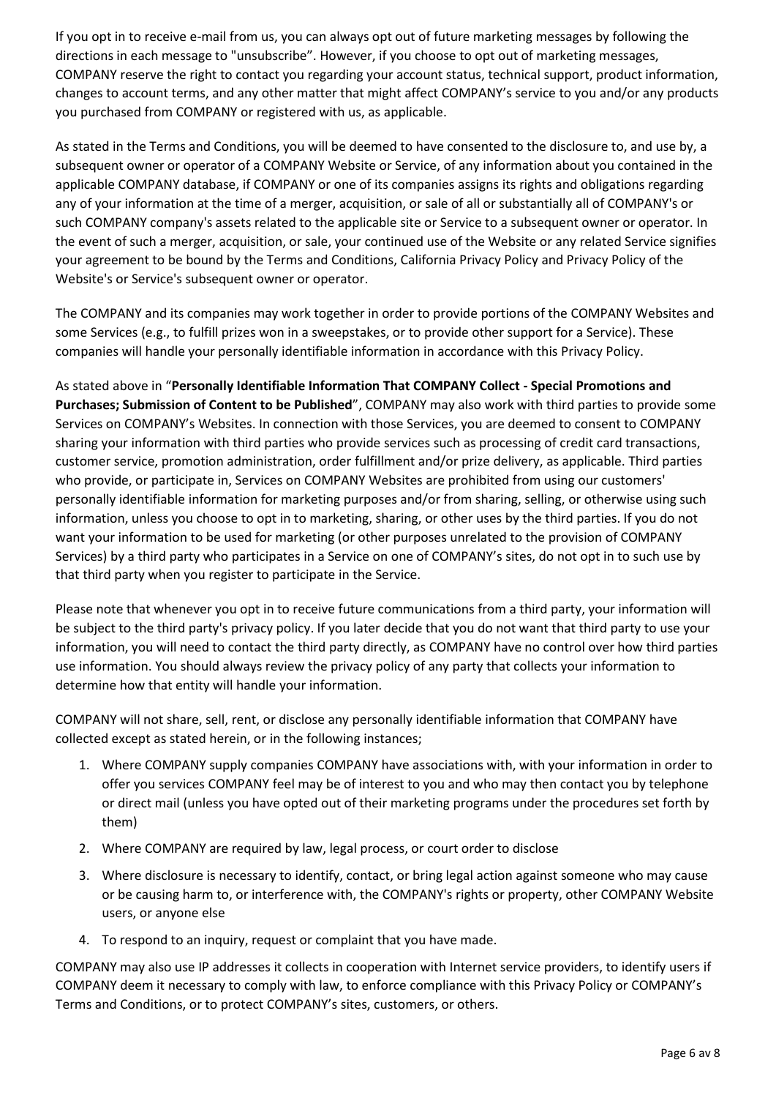If you opt in to receive e-mail from us, you can always opt out of future marketing messages by following the directions in each message to "unsubscribe". However, if you choose to opt out of marketing messages, COMPANY reserve the right to contact you regarding your account status, technical support, product information, changes to account terms, and any other matter that might affect COMPANY's service to you and/or any products you purchased from COMPANY or registered with us, as applicable.

As stated in the Terms and Conditions, you will be deemed to have consented to the disclosure to, and use by, a subsequent owner or operator of a COMPANY Website or Service, of any information about you contained in the applicable COMPANY database, if COMPANY or one of its companies assigns its rights and obligations regarding any of your information at the time of a merger, acquisition, or sale of all or substantially all of COMPANY's or such COMPANY company's assets related to the applicable site or Service to a subsequent owner or operator. In the event of such a merger, acquisition, or sale, your continued use of the Website or any related Service signifies your agreement to be bound by the Terms and Conditions, California Privacy Policy and Privacy Policy of the Website's or Service's subsequent owner or operator.

The COMPANY and its companies may work together in order to provide portions of the COMPANY Websites and some Services (e.g., to fulfill prizes won in a sweepstakes, or to provide other support for a Service). These companies will handle your personally identifiable information in accordance with this Privacy Policy.

As stated above in "**Personally Identifiable Information That COMPANY Collect - Special Promotions and Purchases; Submission of Content to be Published**", COMPANY may also work with third parties to provide some Services on COMPANY's Websites. In connection with those Services, you are deemed to consent to COMPANY sharing your information with third parties who provide services such as processing of credit card transactions, customer service, promotion administration, order fulfillment and/or prize delivery, as applicable. Third parties who provide, or participate in, Services on COMPANY Websites are prohibited from using our customers' personally identifiable information for marketing purposes and/or from sharing, selling, or otherwise using such information, unless you choose to opt in to marketing, sharing, or other uses by the third parties. If you do not want your information to be used for marketing (or other purposes unrelated to the provision of COMPANY Services) by a third party who participates in a Service on one of COMPANY's sites, do not opt in to such use by that third party when you register to participate in the Service.

Please note that whenever you opt in to receive future communications from a third party, your information will be subject to the third party's privacy policy. If you later decide that you do not want that third party to use your information, you will need to contact the third party directly, as COMPANY have no control over how third parties use information. You should always review the privacy policy of any party that collects your information to determine how that entity will handle your information.

COMPANY will not share, sell, rent, or disclose any personally identifiable information that COMPANY have collected except as stated herein, or in the following instances;

- 1. Where COMPANY supply companies COMPANY have associations with, with your information in order to offer you services COMPANY feel may be of interest to you and who may then contact you by telephone or direct mail (unless you have opted out of their marketing programs under the procedures set forth by them)
- 2. Where COMPANY are required by law, legal process, or court order to disclose
- 3. Where disclosure is necessary to identify, contact, or bring legal action against someone who may cause or be causing harm to, or interference with, the COMPANY's rights or property, other COMPANY Website users, or anyone else
- 4. To respond to an inquiry, request or complaint that you have made.

COMPANY may also use IP addresses it collects in cooperation with Internet service providers, to identify users if COMPANY deem it necessary to comply with law, to enforce compliance with this Privacy Policy or COMPANY's Terms and Conditions, or to protect COMPANY's sites, customers, or others.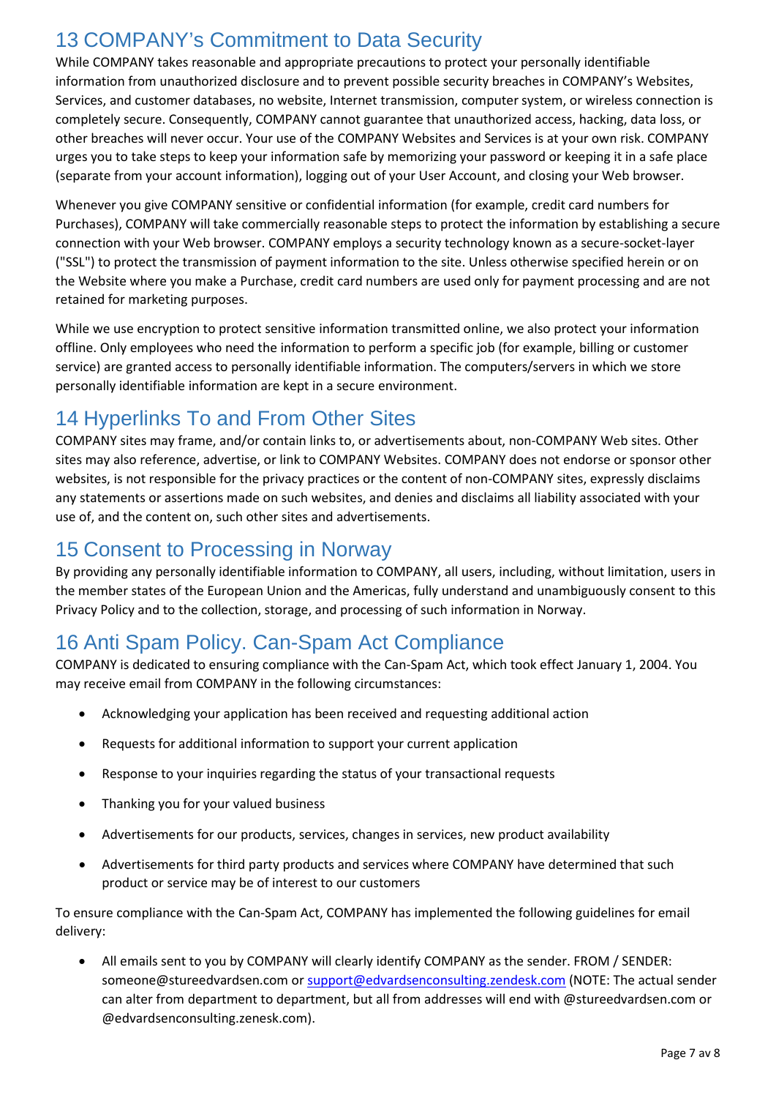# <span id="page-6-0"></span>13 COMPANY's Commitment to Data Security

While COMPANY takes reasonable and appropriate precautions to protect your personally identifiable information from unauthorized disclosure and to prevent possible security breaches in COMPANY's Websites, Services, and customer databases, no website, Internet transmission, computer system, or wireless connection is completely secure. Consequently, COMPANY cannot guarantee that unauthorized access, hacking, data loss, or other breaches will never occur. Your use of the COMPANY Websites and Services is at your own risk. COMPANY urges you to take steps to keep your information safe by memorizing your password or keeping it in a safe place (separate from your account information), logging out of your User Account, and closing your Web browser.

Whenever you give COMPANY sensitive or confidential information (for example, credit card numbers for Purchases), COMPANY will take commercially reasonable steps to protect the information by establishing a secure connection with your Web browser. COMPANY employs a security technology known as a secure-socket-layer ("SSL") to protect the transmission of payment information to the site. Unless otherwise specified herein or on the Website where you make a Purchase, credit card numbers are used only for payment processing and are not retained for marketing purposes.

While we use encryption to protect sensitive information transmitted online, we also protect your information offline. Only employees who need the information to perform a specific job (for example, billing or customer service) are granted access to personally identifiable information. The computers/servers in which we store personally identifiable information are kept in a secure environment.

# <span id="page-6-1"></span>14 Hyperlinks To and From Other Sites

COMPANY sites may frame, and/or contain links to, or advertisements about, non-COMPANY Web sites. Other sites may also reference, advertise, or link to COMPANY Websites. COMPANY does not endorse or sponsor other websites, is not responsible for the privacy practices or the content of non-COMPANY sites, expressly disclaims any statements or assertions made on such websites, and denies and disclaims all liability associated with your use of, and the content on, such other sites and advertisements.

#### <span id="page-6-2"></span>15 Consent to Processing in Norway

By providing any personally identifiable information to COMPANY, all users, including, without limitation, users in the member states of the European Union and the Americas, fully understand and unambiguously consent to this Privacy Policy and to the collection, storage, and processing of such information in Norway.

# <span id="page-6-3"></span>16 Anti Spam Policy. Can-Spam Act Compliance

COMPANY is dedicated to ensuring compliance with the Can-Spam Act, which took effect January 1, 2004. You may receive email from COMPANY in the following circumstances:

- Acknowledging your application has been received and requesting additional action
- Requests for additional information to support your current application
- Response to your inquiries regarding the status of your transactional requests
- Thanking you for your valued business
- Advertisements for our products, services, changes in services, new product availability
- Advertisements for third party products and services where COMPANY have determined that such product or service may be of interest to our customers

To ensure compliance with the Can-Spam Act, COMPANY has implemented the following guidelines for email delivery:

• All emails sent to you by COMPANY will clearly identify COMPANY as the sender. FROM / SENDER: someone@stureedvardsen.com or [support@edvardsenconsulting.zendesk.com](mailto:support@edvardsenconsulting.zendesk.com) (NOTE: The actual sender can alter from department to department, but all from addresses will end with @stureedvardsen.com or @edvardsenconsulting.zenesk.com).